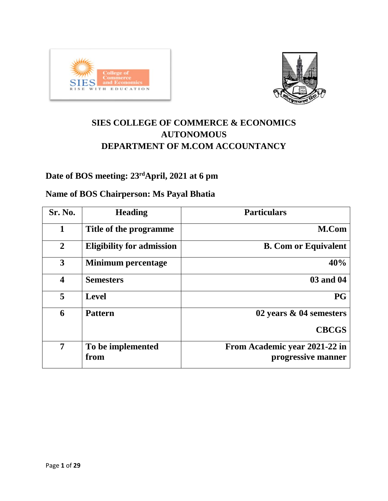



# **SIES COLLEGE OF COMMERCE & ECONOMICS AUTONOMOUS DEPARTMENT OF M.COM ACCOUNTANCY**

# **Date of BOS meeting: 23rdApril, 2021 at 6 pm**

# **Name of BOS Chairperson: Ms Payal Bhatia**

| Sr. No.                 | <b>Heading</b>                   | <b>Particulars</b>                                  |
|-------------------------|----------------------------------|-----------------------------------------------------|
| $\mathbf{1}$            | Title of the programme           | M.Com                                               |
| $\overline{2}$          | <b>Eligibility for admission</b> | <b>B. Com or Equivalent</b>                         |
| 3                       | <b>Minimum percentage</b>        | 40%                                                 |
| $\overline{\mathbf{4}}$ | <b>Semesters</b>                 | 03 and 04                                           |
| 5                       | <b>Level</b>                     | <b>PG</b>                                           |
| 6                       | <b>Pattern</b>                   | 02 years & 04 semesters                             |
|                         |                                  | <b>CBCGS</b>                                        |
| 7                       | To be implemented<br>from        | From Academic year 2021-22 in<br>progressive manner |
|                         |                                  |                                                     |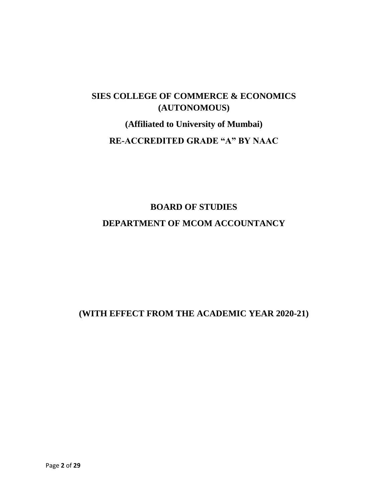# **SIES COLLEGE OF COMMERCE & ECONOMICS (AUTONOMOUS)**

**(Affiliated to University of Mumbai) RE-ACCREDITED GRADE "A" BY NAAC**

# **BOARD OF STUDIES DEPARTMENT OF MCOM ACCOUNTANCY**

### **(WITH EFFECT FROM THE ACADEMIC YEAR 2020-21)**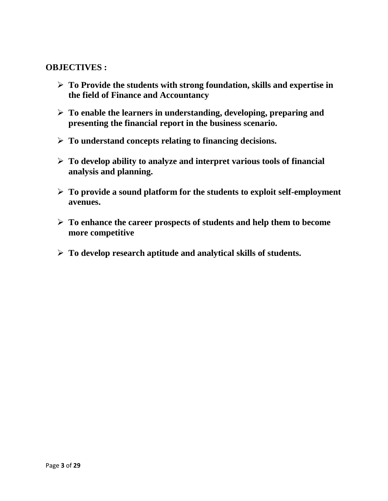#### **OBJECTIVES :**

- ➢ **To Provide the students with strong foundation, skills and expertise in the field of Finance and Accountancy**
- ➢ **To enable the learners in understanding, developing, preparing and presenting the financial report in the business scenario.**
- ➢ **To understand concepts relating to financing decisions.**
- ➢ **To develop ability to analyze and interpret various tools of financial analysis and planning.**
- ➢ **To provide a sound platform for the students to exploit self-employment avenues.**
- ➢ **To enhance the career prospects of students and help them to become more competitive**
- ➢ **To develop research aptitude and analytical skills of students.**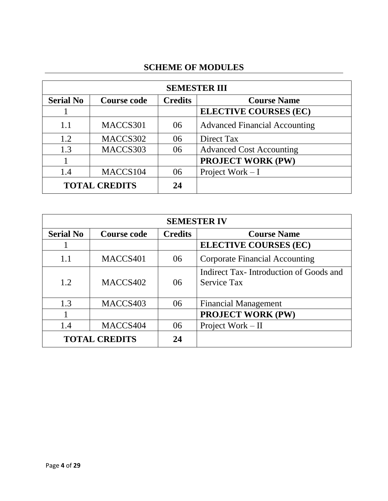# **SCHEME OF MODULES**

| <b>SEMESTER III</b>        |                    |                |                                      |  |
|----------------------------|--------------------|----------------|--------------------------------------|--|
| <b>Serial No</b>           | <b>Course code</b> | <b>Credits</b> | <b>Course Name</b>                   |  |
|                            |                    |                | <b>ELECTIVE COURSES (EC)</b>         |  |
| 1.1                        | MACCS301           | 06             | <b>Advanced Financial Accounting</b> |  |
| 1.2                        | MACCS302           | 06             | Direct Tax                           |  |
| 1.3                        | MACCS303           | 06             | <b>Advanced Cost Accounting</b>      |  |
|                            |                    |                | <b>PROJECT WORK (PW)</b>             |  |
| 1.4                        | MACCS104           | 06             | Project Work $-I$                    |  |
| <b>TOTAL CREDITS</b><br>24 |                    |                |                                      |  |

| <b>SEMESTER IV</b>         |                    |                |                                                              |  |
|----------------------------|--------------------|----------------|--------------------------------------------------------------|--|
| <b>Serial No</b>           | <b>Course code</b> | <b>Credits</b> | <b>Course Name</b>                                           |  |
|                            |                    |                | <b>ELECTIVE COURSES (EC)</b>                                 |  |
| 1.1                        | MACCS401           | 06             | <b>Corporate Financial Accounting</b>                        |  |
| 1.2                        | MACCS402           | 06             | Indirect Tax-Introduction of Goods and<br><b>Service Tax</b> |  |
| 1.3                        | MACCS403           | 06             | <b>Financial Management</b>                                  |  |
|                            |                    |                | <b>PROJECT WORK (PW)</b>                                     |  |
| 1.4                        | MACCS404           | 06             | Project Work – II                                            |  |
| <b>TOTAL CREDITS</b><br>24 |                    |                |                                                              |  |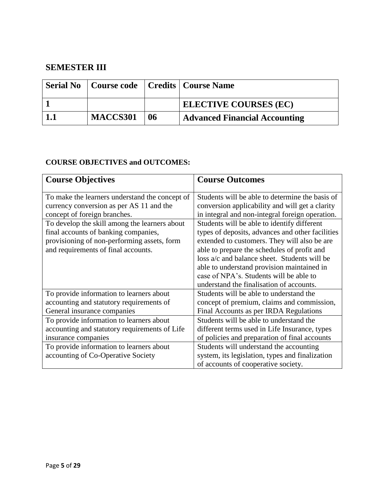### **SEMESTER III**

|        |                 |    | <b>Serial No</b>   Course code   Credits   Course Name |
|--------|-----------------|----|--------------------------------------------------------|
|        |                 |    | <b>ELECTIVE COURSES (EC)</b>                           |
| $-1.1$ | <b>MACCS301</b> | 06 | Advanced Financial Accounting                          |

#### **COURSE OBJECTIVES and OUTCOMES:**

| <b>Course Objectives</b>                                                                                                                                                    | <b>Course Outcomes</b>                                                                                                                                                                                                                                                                                                                                                              |
|-----------------------------------------------------------------------------------------------------------------------------------------------------------------------------|-------------------------------------------------------------------------------------------------------------------------------------------------------------------------------------------------------------------------------------------------------------------------------------------------------------------------------------------------------------------------------------|
| To make the learners understand the concept of                                                                                                                              | Students will be able to determine the basis of                                                                                                                                                                                                                                                                                                                                     |
| currency conversion as per AS 11 and the                                                                                                                                    | conversion applicability and will get a clarity                                                                                                                                                                                                                                                                                                                                     |
| concept of foreign branches.                                                                                                                                                | in integral and non-integral foreign operation.                                                                                                                                                                                                                                                                                                                                     |
| To develop the skill among the learners about<br>final accounts of banking companies,<br>provisioning of non-performing assets, form<br>and requirements of final accounts. | Students will be able to identify different<br>types of deposits, advances and other facilities<br>extended to customers. They will also be are<br>able to prepare the schedules of profit and<br>loss a/c and balance sheet. Students will be<br>able to understand provision maintained in<br>case of NPA's. Students will be able to<br>understand the finalisation of accounts. |
| To provide information to learners about                                                                                                                                    | Students will be able to understand the                                                                                                                                                                                                                                                                                                                                             |
| accounting and statutory requirements of                                                                                                                                    | concept of premium, claims and commission,                                                                                                                                                                                                                                                                                                                                          |
| General insurance companies                                                                                                                                                 | Final Accounts as per IRDA Regulations                                                                                                                                                                                                                                                                                                                                              |
| To provide information to learners about                                                                                                                                    | Students will be able to understand the                                                                                                                                                                                                                                                                                                                                             |
| accounting and statutory requirements of Life                                                                                                                               | different terms used in Life Insurance, types                                                                                                                                                                                                                                                                                                                                       |
| insurance companies                                                                                                                                                         | of policies and preparation of final accounts                                                                                                                                                                                                                                                                                                                                       |
| To provide information to learners about<br>accounting of Co-Operative Society                                                                                              | Students will understand the accounting<br>system, its legislation, types and finalization<br>of accounts of cooperative society.                                                                                                                                                                                                                                                   |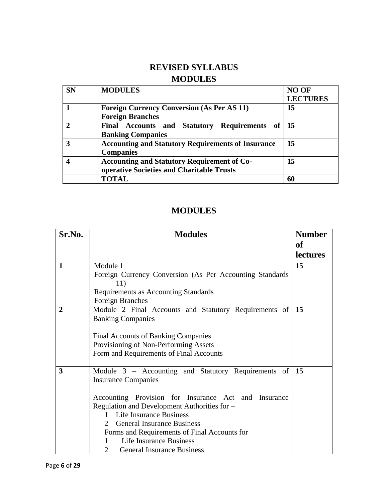# **REVISED SYLLABUS MODULES**

| <b>SN</b> | <b>MODULES</b>                                            | <b>NO OF</b>    |
|-----------|-----------------------------------------------------------|-----------------|
|           |                                                           | <b>LECTURES</b> |
|           | <b>Foreign Currency Conversion (As Per AS 11)</b>         | 15              |
|           | <b>Foreign Branches</b>                                   |                 |
|           | Final Accounts and Statutory Requirements of 15           |                 |
|           | <b>Banking Companies</b>                                  |                 |
| 3         | <b>Accounting and Statutory Requirements of Insurance</b> | 15              |
|           | <b>Companies</b>                                          |                 |
|           | <b>Accounting and Statutory Requirement of Co-</b>        | 15              |
|           | operative Societies and Charitable Trusts                 |                 |
|           | TOTAL                                                     | 60              |

| Sr.No. | <b>Modules</b>                                                                    | <b>Number</b>   |  |  |  |
|--------|-----------------------------------------------------------------------------------|-----------------|--|--|--|
|        |                                                                                   | <b>of</b>       |  |  |  |
|        |                                                                                   | <b>lectures</b> |  |  |  |
| 1      | Module 1                                                                          | 15              |  |  |  |
|        | Foreign Currency Conversion (As Per Accounting Standards)<br>11)                  |                 |  |  |  |
|        | Requirements as Accounting Standards                                              |                 |  |  |  |
|        | Foreign Branches                                                                  |                 |  |  |  |
| 2      | Module 2 Final Accounts and Statutory Requirements of                             | 15              |  |  |  |
|        | <b>Banking Companies</b>                                                          |                 |  |  |  |
|        | <b>Final Accounts of Banking Companies</b>                                        |                 |  |  |  |
|        | Provisioning of Non-Performing Assets                                             |                 |  |  |  |
|        | Form and Requirements of Final Accounts                                           |                 |  |  |  |
|        |                                                                                   |                 |  |  |  |
| 3      | Module 3 – Accounting and Statutory Requirements of<br><b>Insurance Companies</b> | 15              |  |  |  |
|        | Accounting Provision for Insurance Act and Insurance                              |                 |  |  |  |
|        | Regulation and Development Authorities for -                                      |                 |  |  |  |
|        | <b>Life Insurance Business</b><br>$\mathbf{1}$<br>$\mathcal{D}_{\mathcal{L}}$     |                 |  |  |  |
|        | <b>General Insurance Business</b><br>Forms and Requirements of Final Accounts for |                 |  |  |  |
|        | <b>Life Insurance Business</b>                                                    |                 |  |  |  |
|        | 2<br><b>General Insurance Business</b>                                            |                 |  |  |  |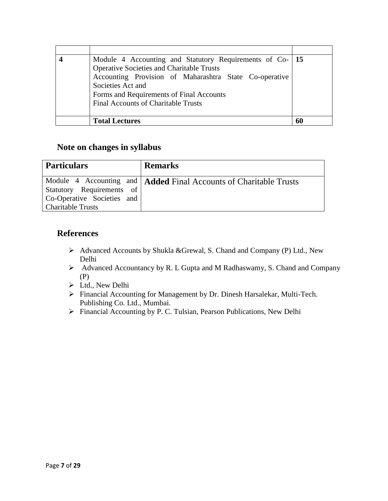| Module 4 Accounting and Statutory Requirements of Co- 15 |    |
|----------------------------------------------------------|----|
| <b>Operative Societies and Charitable Trusts</b>         |    |
| Accounting Provision of Maharashtra State Co-operative   |    |
| Societies Act and                                        |    |
| Forms and Requirements of Final Accounts                 |    |
| <b>Final Accounts of Charitable Trusts</b>               |    |
|                                                          |    |
| <b>Total Lectures</b>                                    | 60 |

#### **Note on changes in syllabus**

| <b>Particulars</b>                                                                  | <b>Remarks</b>                                                      |
|-------------------------------------------------------------------------------------|---------------------------------------------------------------------|
| Statutory Requirements of<br>Co-Operative Societies and<br><b>Charitable Trusts</b> | Module 4 Accounting and   Added Final Accounts of Charitable Trusts |

#### **References**

- ➢ Advanced Accounts by Shukla &Grewal, S. Chand and Company (P) Ltd., New Delhi
- ➢ Advanced Accountancy by R. L Gupta and M Radhaswamy, S. Chand and Company (P)
- ➢ Ltd., New Delhi
- ➢ Financial Accounting for Management by Dr. Dinesh Harsalekar, Multi-Tech. Publishing Co. Ltd., Mumbai.
- ➢ Financial Accounting by P. C. Tulsian, Pearson Publications, New Delhi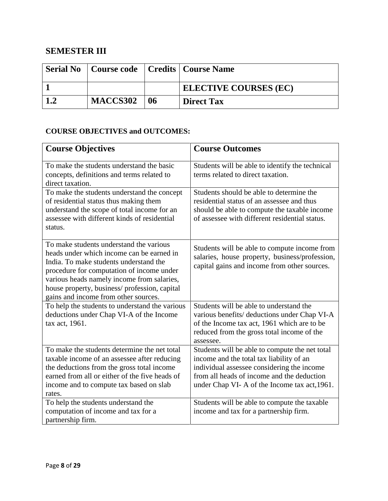# **SEMESTER III**

|     |                 |    | <b>Serial No</b>   Course code   Credits   Course Name |
|-----|-----------------|----|--------------------------------------------------------|
|     |                 |    | <b>ELECTIVE COURSES (EC)</b>                           |
| 1.2 | <b>MACCS302</b> | 06 | <b>Direct Tax</b>                                      |

#### **COURSE OBJECTIVES and OUTCOMES:**

| <b>Course Objectives</b>                                                                                                                                                                                                                                                                                          | <b>Course Outcomes</b>                                                                                                                                                                                                                 |
|-------------------------------------------------------------------------------------------------------------------------------------------------------------------------------------------------------------------------------------------------------------------------------------------------------------------|----------------------------------------------------------------------------------------------------------------------------------------------------------------------------------------------------------------------------------------|
| To make the students understand the basic<br>concepts, definitions and terms related to<br>direct taxation.                                                                                                                                                                                                       | Students will be able to identify the technical<br>terms related to direct taxation.                                                                                                                                                   |
| To make the students understand the concept<br>of residential status thus making them<br>understand the scope of total income for an<br>assessee with different kinds of residential<br>status.                                                                                                                   | Students should be able to determine the<br>residential status of an assessee and thus<br>should be able to compute the taxable income<br>of assessee with different residential status.                                               |
| To make students understand the various<br>heads under which income can be earned in<br>India. To make students understand the<br>procedure for computation of income under<br>various heads namely income from salaries,<br>house property, business/profession, capital<br>gains and income from other sources. | Students will be able to compute income from<br>salaries, house property, business/profession,<br>capital gains and income from other sources.                                                                                         |
| To help the students to understand the various<br>deductions under Chap VI-A of the Income<br>tax act, 1961.                                                                                                                                                                                                      | Students will be able to understand the<br>various benefits/ deductions under Chap VI-A<br>of the Income tax act, 1961 which are to be<br>reduced from the gross total income of the<br>assessee.                                      |
| To make the students determine the net total<br>taxable income of an assessee after reducing<br>the deductions from the gross total income<br>earned from all or either of the five heads of<br>income and to compute tax based on slab<br>rates.                                                                 | Students will be able to compute the net total<br>income and the total tax liability of an<br>individual assessee considering the income<br>from all heads of income and the deduction<br>under Chap VI-A of the Income tax act, 1961. |
| To help the students understand the<br>computation of income and tax for a<br>partnership firm.                                                                                                                                                                                                                   | Students will be able to compute the taxable<br>income and tax for a partnership firm.                                                                                                                                                 |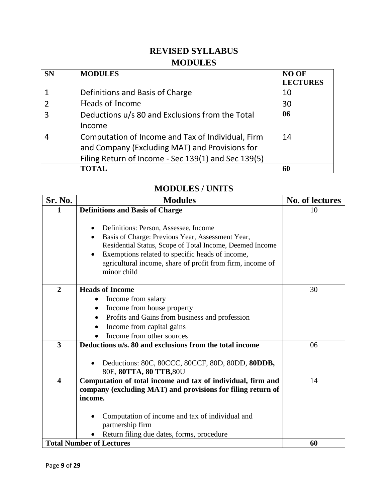# **REVISED SYLLABUS MODULES**

| <b>SN</b> | <b>MODULES</b>                                      | <b>NO OF</b><br><b>LECTURES</b> |
|-----------|-----------------------------------------------------|---------------------------------|
|           | Definitions and Basis of Charge                     | 10                              |
| ာ         | Heads of Income                                     | 30                              |
| 3         | Deductions u/s 80 and Exclusions from the Total     | 06                              |
|           | Income                                              |                                 |
|           | Computation of Income and Tax of Individual, Firm   | 14                              |
|           | and Company (Excluding MAT) and Provisions for      |                                 |
|           | Filing Return of Income - Sec 139(1) and Sec 139(5) |                                 |
|           | <b>TOTAL</b>                                        | 60                              |

# **MODULES / UNITS**

| Sr. No.                 | <b>Modules</b>                                                           | <b>No. of lectures</b> |
|-------------------------|--------------------------------------------------------------------------|------------------------|
| 1                       | <b>Definitions and Basis of Charge</b>                                   | 10                     |
|                         |                                                                          |                        |
|                         | Definitions: Person, Assessee, Income                                    |                        |
|                         | Basis of Charge: Previous Year, Assessment Year,<br>$\bullet$            |                        |
|                         | Residential Status, Scope of Total Income, Deemed Income                 |                        |
|                         | Exemptions related to specific heads of income,                          |                        |
|                         | agricultural income, share of profit from firm, income of<br>minor child |                        |
|                         |                                                                          |                        |
| $\overline{2}$          | <b>Heads of Income</b>                                                   | 30                     |
|                         | Income from salary                                                       |                        |
|                         | Income from house property<br>٠                                          |                        |
|                         | Profits and Gains from business and profession<br>٠                      |                        |
|                         | Income from capital gains                                                |                        |
|                         | Income from other sources                                                |                        |
| 3                       | Deductions u/s, 80 and exclusions from the total income                  | 06                     |
|                         |                                                                          |                        |
|                         | Deductions: 80C, 80CCC, 80CCF, 80D, 80DD, 80DDB,                         |                        |
|                         | 80E, 80TTA, 80 TTB, 80U                                                  |                        |
| $\overline{\mathbf{4}}$ | Computation of total income and tax of individual, firm and              | 14                     |
|                         | company (excluding MAT) and provisions for filing return of<br>income.   |                        |
|                         |                                                                          |                        |
|                         | Computation of income and tax of individual and                          |                        |
|                         | partnership firm                                                         |                        |
|                         | Return filing due dates, forms, procedure                                |                        |
|                         | <b>Total Number of Lectures</b>                                          | 60                     |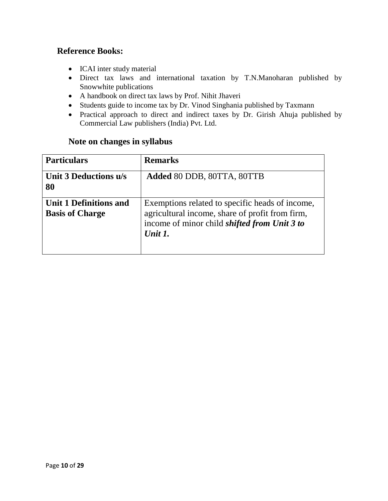#### **Reference Books:**

- ICAI inter study material
- Direct tax laws and international taxation by T.N.Manoharan published by Snowwhite publications
- A handbook on direct tax laws by Prof. Nihit Jhaveri
- Students guide to income tax by Dr. Vinod Singhania published by Taxmann
- Practical approach to direct and indirect taxes by Dr. Girish Ahuja published by Commercial Law publishers (India) Pvt. Ltd.

#### **Note on changes in syllabus**

| <b>Particulars</b>                               | <b>Remarks</b>                                                                                                                                                       |
|--------------------------------------------------|----------------------------------------------------------------------------------------------------------------------------------------------------------------------|
| Unit 3 Deductions u/s<br>80                      | Added 80 DDB, 80TTA, 80TTB                                                                                                                                           |
| Unit 1 Definitions and<br><b>Basis of Charge</b> | Exemptions related to specific heads of income,<br>agricultural income, share of profit from firm,<br>income of minor child <i>shifted from Unit 3 to</i><br>Unit 1. |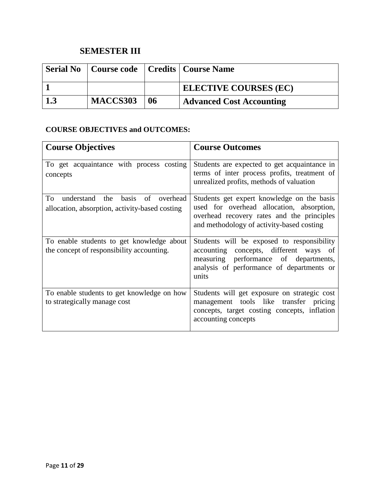# **SEMESTER III**

|     |          |    | <b>Serial No</b>   Course code   Credits   Course Name |
|-----|----------|----|--------------------------------------------------------|
|     |          |    | <b>ELECTIVE COURSES (EC)</b>                           |
| 1.3 | MACCS303 | 06 | <b>Advanced Cost Accounting</b>                        |

#### **COURSE OBJECTIVES and OUTCOMES:**

| <b>Course Objectives</b>                                                                          | <b>Course Outcomes</b>                                                                                                                                                              |
|---------------------------------------------------------------------------------------------------|-------------------------------------------------------------------------------------------------------------------------------------------------------------------------------------|
| To get acquaintance with process costing<br>concepts                                              | Students are expected to get acquaintance in<br>terms of inter process profits, treatment of<br>unrealized profits, methods of valuation                                            |
| basis<br>To<br>understand the<br>of<br>overhead<br>allocation, absorption, activity-based costing | Students get expert knowledge on the basis<br>used for overhead allocation, absorption,<br>overhead recovery rates and the principles<br>and methodology of activity-based costing  |
| To enable students to get knowledge about<br>the concept of responsibility accounting.            | Students will be exposed to responsibility<br>accounting concepts, different ways of<br>measuring performance of departments,<br>analysis of performance of departments or<br>units |
| To enable students to get knowledge on how<br>to strategically manage cost                        | Students will get exposure on strategic cost<br>management tools like transfer pricing<br>concepts, target costing concepts, inflation<br>accounting concepts                       |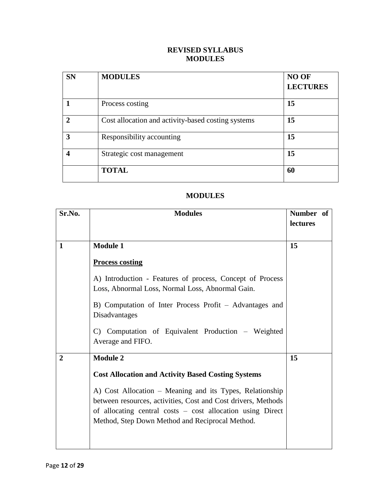#### **REVISED SYLLABUS MODULES**

| <b>SN</b>    | <b>MODULES</b>                                     | NO OF<br><b>LECTURES</b> |
|--------------|----------------------------------------------------|--------------------------|
|              | Process costing                                    | 15                       |
| $\mathbf{2}$ | Cost allocation and activity-based costing systems | 15                       |
| 3            | Responsibility accounting                          | 15                       |
| 4            | Strategic cost management                          | 15                       |
|              | <b>TOTAL</b>                                       | 60                       |

| Sr.No.         | <b>Modules</b>                                                                                                                                                                                                                             | Number of |
|----------------|--------------------------------------------------------------------------------------------------------------------------------------------------------------------------------------------------------------------------------------------|-----------|
|                |                                                                                                                                                                                                                                            | lectures  |
|                |                                                                                                                                                                                                                                            |           |
| 1              | <b>Module 1</b>                                                                                                                                                                                                                            | 15        |
|                | <b>Process costing</b>                                                                                                                                                                                                                     |           |
|                | A) Introduction - Features of process, Concept of Process<br>Loss, Abnormal Loss, Normal Loss, Abnormal Gain.                                                                                                                              |           |
|                | B) Computation of Inter Process Profit – Advantages and<br>Disadvantages                                                                                                                                                                   |           |
|                | C) Computation of Equivalent Production - Weighted<br>Average and FIFO.                                                                                                                                                                    |           |
| $\overline{2}$ | <b>Module 2</b>                                                                                                                                                                                                                            | 15        |
|                | <b>Cost Allocation and Activity Based Costing Systems</b>                                                                                                                                                                                  |           |
|                | A) Cost Allocation - Meaning and its Types, Relationship<br>between resources, activities, Cost and Cost drivers, Methods<br>of allocating central costs – cost allocation using Direct<br>Method, Step Down Method and Reciprocal Method. |           |
|                |                                                                                                                                                                                                                                            |           |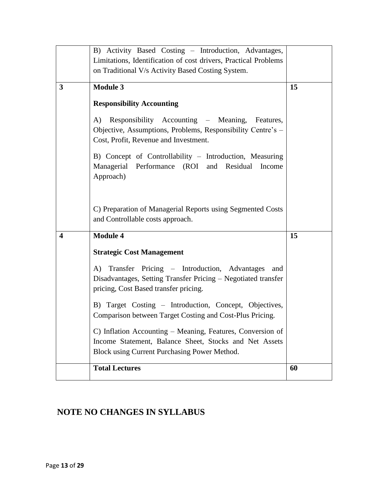|                         | B) Activity Based Costing - Introduction, Advantages,<br>Limitations, Identification of cost drivers, Practical Problems<br>on Traditional V/s Activity Based Costing System. |    |
|-------------------------|-------------------------------------------------------------------------------------------------------------------------------------------------------------------------------|----|
| 3                       | <b>Module 3</b><br><b>Responsibility Accounting</b><br>Responsibility Accounting – Meaning, Features,<br>A)                                                                   | 15 |
|                         | Objective, Assumptions, Problems, Responsibility Centre's –<br>Cost, Profit, Revenue and Investment.                                                                          |    |
|                         | B) Concept of Controllability - Introduction, Measuring<br>Managerial Performance (ROI and<br>Residual<br>Income<br>Approach)                                                 |    |
|                         | C) Preparation of Managerial Reports using Segmented Costs<br>and Controllable costs approach.                                                                                |    |
| $\overline{\mathbf{4}}$ | <b>Module 4</b><br><b>Strategic Cost Management</b><br>A) Transfer Pricing – Introduction, Advantages<br>and                                                                  | 15 |
|                         | Disadvantages, Setting Transfer Pricing - Negotiated transfer<br>pricing, Cost Based transfer pricing.                                                                        |    |
|                         | B) Target Costing - Introduction, Concept, Objectives,<br>Comparison between Target Costing and Cost-Plus Pricing.                                                            |    |
|                         | C) Inflation Accounting - Meaning, Features, Conversion of<br>Income Statement, Balance Sheet, Stocks and Net Assets<br>Block using Current Purchasing Power Method.          |    |
|                         | <b>Total Lectures</b>                                                                                                                                                         | 60 |

# **NOTE NO CHANGES IN SYLLABUS**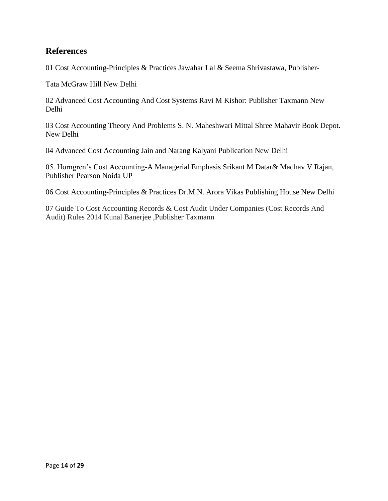#### **References**

01 Cost Accounting-Principles & Practices Jawahar Lal & Seema Shrivastawa, Publisher-

Tata McGraw Hill New Delhi

02 Advanced Cost Accounting And Cost Systems Ravi M Kishor: Publisher Taxmann New Delhi

03 Cost Accounting Theory And Problems S. N. Maheshwari Mittal Shree Mahavir Book Depot. New Delhi

04 Advanced Cost Accounting Jain and Narang Kalyani Publication New Delhi

05. Horngren's Cost Accounting-A Managerial Emphasis Srikant M Datar& Madhav V Rajan, Publisher Pearson Noida UP

06 Cost Accounting-Principles & Practices Dr.M.N. Arora Vikas Publishing House New Delhi

07 Guide To Cost Accounting Records & Cost Audit Under Companies (Cost Records And Audit) Rules 2014 Kunal Banerjee ,Publisher Taxmann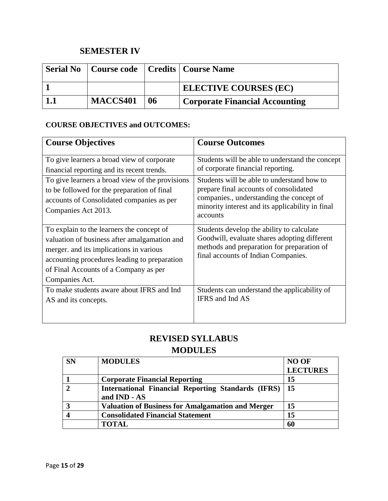# **SEMESTER IV**

|          |    | <b>Serial No</b>   Course code   Credits   Course Name |
|----------|----|--------------------------------------------------------|
|          |    | <b>ELECTIVE COURSES (EC)</b>                           |
| MACCS401 | 06 | <b>Corporate Financial Accounting</b>                  |

#### **COURSE OBJECTIVES and OUTCOMES:**

| <b>Course Objectives</b>                                                                                                                                                                                                                        | <b>Course Outcomes</b>                                                                                                                                                                           |
|-------------------------------------------------------------------------------------------------------------------------------------------------------------------------------------------------------------------------------------------------|--------------------------------------------------------------------------------------------------------------------------------------------------------------------------------------------------|
| To give learners a broad view of corporate<br>financial reporting and its recent trends.                                                                                                                                                        | Students will be able to understand the concept<br>of corporate financial reporting.                                                                                                             |
| To give learners a broad view of the provisions<br>to be followed for the preparation of final<br>accounts of Consolidated companies as per<br>Companies Act 2013.                                                                              | Students will be able to understand how to<br>prepare final accounts of consolidated<br>companies., understanding the concept of<br>minority interest and its applicability in final<br>accounts |
| To explain to the learners the concept of<br>valuation of business after amalgamation and<br>merger. and its implications in various<br>accounting procedures leading to preparation<br>of Final Accounts of a Company as per<br>Companies Act. | Students develop the ability to calculate<br>Goodwill, evaluate shares adopting different<br>methods and preparation for preparation of<br>final accounts of Indian Companies.                   |
| To make students aware about IFRS and Ind<br>AS and its concepts.                                                                                                                                                                               | Students can understand the applicability of<br>IFRS and Ind AS                                                                                                                                  |

# **REVISED SYLLABUS**

| <b>SN</b> | <b>MODULES</b>                                                     | <b>NO OF</b>    |
|-----------|--------------------------------------------------------------------|-----------------|
|           |                                                                    | <b>LECTURES</b> |
|           | <b>Corporate Financial Reporting</b>                               | 15              |
|           | International Financial Reporting Standards (IFRS)<br>and IND - AS | 15              |
|           | <b>Valuation of Business for Amalgamation and Merger</b>           | 15              |
|           | <b>Consolidated Financial Statement</b>                            | 15              |
|           | <b>TOTAL</b>                                                       | 60              |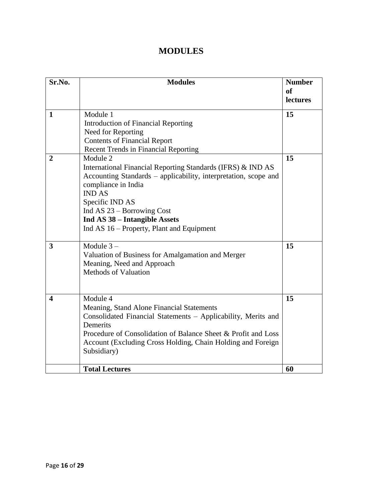| Sr.No.                | <b>Modules</b>                                                  | <b>Number</b><br>of |
|-----------------------|-----------------------------------------------------------------|---------------------|
|                       |                                                                 | lectures            |
| $\mathbf{1}$          | Module 1                                                        | 15                  |
|                       | <b>Introduction of Financial Reporting</b>                      |                     |
|                       | Need for Reporting                                              |                     |
|                       | <b>Contents of Financial Report</b>                             |                     |
|                       | <b>Recent Trends in Financial Reporting</b>                     |                     |
| $\overline{2}$        | Module 2                                                        | 15                  |
|                       | International Financial Reporting Standards (IFRS) & IND AS     |                     |
|                       | Accounting Standards – applicability, interpretation, scope and |                     |
|                       | compliance in India<br><b>IND AS</b>                            |                     |
|                       | Specific IND AS                                                 |                     |
|                       | Ind AS $23 - B$ orrowing Cost                                   |                     |
|                       | Ind AS 38 - Intangible Assets                                   |                     |
|                       | Ind AS 16 – Property, Plant and Equipment                       |                     |
|                       |                                                                 |                     |
| 3                     | Module $3-$                                                     | 15                  |
|                       | Valuation of Business for Amalgamation and Merger               |                     |
|                       | Meaning, Need and Approach                                      |                     |
|                       | <b>Methods of Valuation</b>                                     |                     |
|                       |                                                                 |                     |
|                       |                                                                 |                     |
| $\boldsymbol{\Delta}$ | Module 4                                                        | 15                  |
|                       | Meaning, Stand Alone Financial Statements                       |                     |
|                       | Consolidated Financial Statements - Applicability, Merits and   |                     |
|                       | Demerits                                                        |                     |
|                       | Procedure of Consolidation of Balance Sheet & Profit and Loss   |                     |
|                       | Account (Excluding Cross Holding, Chain Holding and Foreign     |                     |
|                       | Subsidiary)                                                     |                     |
|                       |                                                                 |                     |
|                       | <b>Total Lectures</b>                                           | 60                  |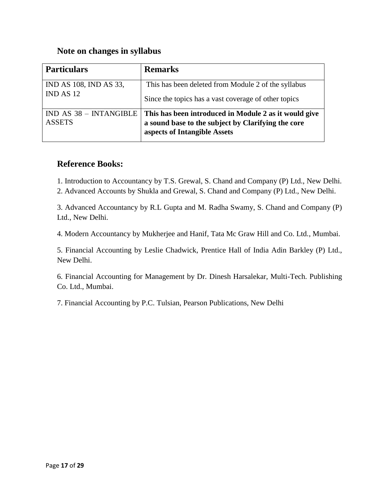#### **Note on changes in syllabus**

| <b>Particulars</b>                        | <b>Remarks</b>                                                                                                                              |
|-------------------------------------------|---------------------------------------------------------------------------------------------------------------------------------------------|
| IND AS 108, IND AS 33,<br>IND AS 12       | This has been deleted from Module 2 of the syllabus<br>Since the topics has a vast coverage of other topics                                 |
| $IND AS 38 - INTANGIBLE$<br><b>ASSETS</b> | This has been introduced in Module 2 as it would give<br>a sound base to the subject by Clarifying the core<br>aspects of Intangible Assets |

#### **Reference Books:**

1. Introduction to Accountancy by T.S. Grewal, S. Chand and Company (P) Ltd., New Delhi. 2. Advanced Accounts by Shukla and Grewal, S. Chand and Company (P) Ltd., New Delhi.

3. Advanced Accountancy by R.L Gupta and M. Radha Swamy, S. Chand and Company (P) Ltd., New Delhi.

4. Modern Accountancy by Mukherjee and Hanif, Tata Mc Graw Hill and Co. Ltd., Mumbai.

5. Financial Accounting by Leslie Chadwick, Prentice Hall of India Adin Barkley (P) Ltd., New Delhi.

6. Financial Accounting for Management by Dr. Dinesh Harsalekar, Multi-Tech. Publishing Co. Ltd., Mumbai.

7. Financial Accounting by P.C. Tulsian, Pearson Publications, New Delhi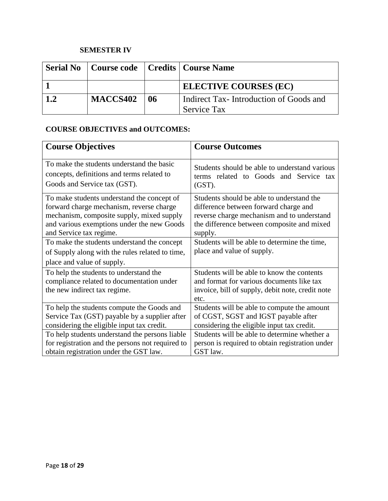#### **SEMESTER IV**

| <b>Serial No</b> |                 |    | Course code   Credits   Course Name                          |
|------------------|-----------------|----|--------------------------------------------------------------|
|                  |                 |    | <b>ELECTIVE COURSES (EC)</b>                                 |
| 1.2              | <b>MACCS402</b> | 06 | Indirect Tax-Introduction of Goods and<br><b>Service Tax</b> |

#### **COURSE OBJECTIVES and OUTCOMES:**

| <b>Course Objectives</b>                                                                                            | <b>Course Outcomes</b>                                                                                                                              |  |
|---------------------------------------------------------------------------------------------------------------------|-----------------------------------------------------------------------------------------------------------------------------------------------------|--|
| To make the students understand the basic                                                                           | Students should be able to understand various                                                                                                       |  |
| concepts, definitions and terms related to                                                                          | terms related to Goods and Service tax                                                                                                              |  |
| Goods and Service tax (GST).                                                                                        | $(GST)$ .                                                                                                                                           |  |
| To make students understand the concept of                                                                          | Students should be able to understand the                                                                                                           |  |
| forward charge mechanism, reverse charge                                                                            | difference between forward charge and                                                                                                               |  |
| mechanism, composite supply, mixed supply                                                                           | reverse charge mechanism and to understand                                                                                                          |  |
| and various exemptions under the new Goods                                                                          | the difference between composite and mixed                                                                                                          |  |
| and Service tax regime.                                                                                             | supply.                                                                                                                                             |  |
| To make the students understand the concept                                                                         | Students will be able to determine the time,                                                                                                        |  |
| of Supply along with the rules related to time,                                                                     | place and value of supply.                                                                                                                          |  |
| place and value of supply.                                                                                          |                                                                                                                                                     |  |
| To help the students to understand the<br>compliance related to documentation under<br>the new indirect tax regime. | Students will be able to know the contents<br>and format for various documents like tax<br>invoice, bill of supply, debit note, credit note<br>etc. |  |
| To help the students compute the Goods and                                                                          | Students will be able to compute the amount                                                                                                         |  |
| Service Tax (GST) payable by a supplier after                                                                       | of CGST, SGST and IGST payable after                                                                                                                |  |
| considering the eligible input tax credit.                                                                          | considering the eligible input tax credit.                                                                                                          |  |
| To help students understand the persons liable                                                                      | Students will be able to determine whether a                                                                                                        |  |
| for registration and the persons not required to                                                                    | person is required to obtain registration under                                                                                                     |  |
| obtain registration under the GST law.                                                                              | GST law.                                                                                                                                            |  |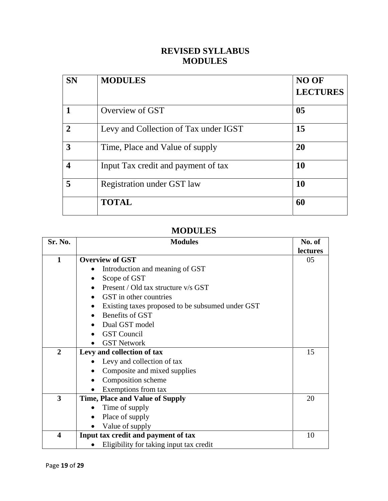# **REVISED SYLLABUS MODULES**

| <b>SN</b>               | <b>MODULES</b>                        | <b>NO OF</b>    |
|-------------------------|---------------------------------------|-----------------|
|                         |                                       | <b>LECTURES</b> |
|                         | Overview of GST                       | 0 <sub>5</sub>  |
| $\overline{2}$          | Levy and Collection of Tax under IGST | 15              |
| 3                       | Time, Place and Value of supply       | 20              |
| $\overline{\mathbf{4}}$ | Input Tax credit and payment of tax   | <b>10</b>       |
| 5                       | Registration under GST law            | 10              |
|                         | <b>TOTAL</b>                          | 60              |

| Sr. No.                 | <b>Modules</b>                                   |          |
|-------------------------|--------------------------------------------------|----------|
|                         |                                                  | lectures |
| 1                       | <b>Overview of GST</b>                           | 05       |
|                         | Introduction and meaning of GST                  |          |
|                         | Scope of GST                                     |          |
|                         | Present / Old tax structure v/s GST              |          |
|                         | GST in other countries                           |          |
|                         | Existing taxes proposed to be subsumed under GST |          |
|                         | Benefits of GST                                  |          |
|                         | Dual GST model                                   |          |
|                         | <b>GST</b> Council                               |          |
|                         | <b>GST Network</b>                               |          |
| $\overline{2}$          | Levy and collection of tax                       | 15       |
|                         | Levy and collection of tax                       |          |
|                         | Composite and mixed supplies                     |          |
|                         | Composition scheme                               |          |
|                         | Exemptions from tax                              |          |
| 3                       | <b>Time, Place and Value of Supply</b>           | 20       |
|                         | Time of supply                                   |          |
|                         | Place of supply                                  |          |
|                         | Value of supply                                  |          |
| $\overline{\mathbf{4}}$ | Input tax credit and payment of tax              | 10       |
|                         | Eligibility for taking input tax credit          |          |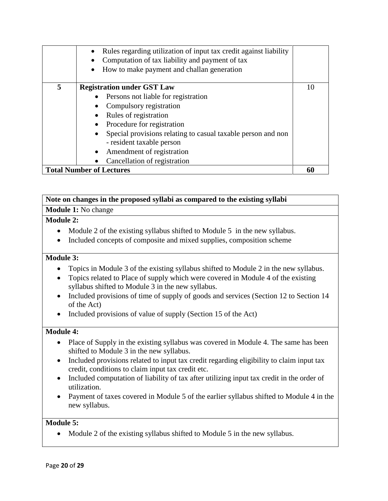| $\bullet$                                                       | Rules regarding utilization of input tax credit against liability<br>Computation of tax liability and payment of tax<br>How to make payment and challan generation                                                                                                                   |    |
|-----------------------------------------------------------------|--------------------------------------------------------------------------------------------------------------------------------------------------------------------------------------------------------------------------------------------------------------------------------------|----|
| 5<br>$\bullet$<br>$\bullet$<br>$\bullet$<br>$\bullet$           | <b>Registration under GST Law</b><br>Persons not liable for registration<br>Compulsory registration<br>Rules of registration<br>Procedure for registration<br>Special provisions relating to casual taxable person and non<br>- resident taxable person<br>Amendment of registration | 10 |
| Cancellation of registration<br><b>Total Number of Lectures</b> |                                                                                                                                                                                                                                                                                      | 60 |

#### **Note on changes in the proposed syllabi as compared to the existing syllabi Module 1:** No change

#### **Module 2:**

- Module 2 of the existing syllabus shifted to Module 5 in the new syllabus.
- Included concepts of composite and mixed supplies, composition scheme

#### **Module 3:**

- Topics in Module 3 of the existing syllabus shifted to Module 2 in the new syllabus.
- Topics related to Place of supply which were covered in Module 4 of the existing syllabus shifted to Module 3 in the new syllabus.
- Included provisions of time of supply of goods and services (Section 12 to Section 14 of the Act)
- Included provisions of value of supply (Section 15 of the Act)

#### **Module 4:**

- Place of Supply in the existing syllabus was covered in Module 4. The same has been shifted to Module 3 in the new syllabus.
- Included provisions related to input tax credit regarding eligibility to claim input tax credit, conditions to claim input tax credit etc.
- Included computation of liability of tax after utilizing input tax credit in the order of utilization.
- Payment of taxes covered in Module 5 of the earlier syllabus shifted to Module 4 in the new syllabus.

#### **Module 5:**

• Module 2 of the existing syllabus shifted to Module 5 in the new syllabus.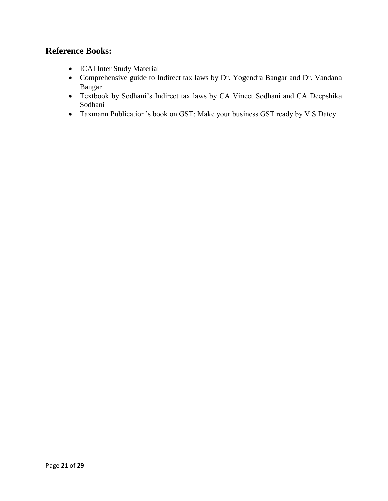### **Reference Books:**

- ICAI Inter Study Material
- Comprehensive guide to Indirect tax laws by Dr. Yogendra Bangar and Dr. Vandana Bangar
- Textbook by Sodhani's Indirect tax laws by CA Vineet Sodhani and CA Deepshika Sodhani
- Taxmann Publication's book on GST: Make your business GST ready by V.S.Datey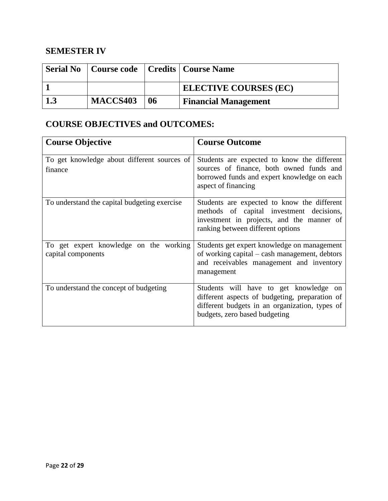# **SEMESTER IV**

|          |    | <b>Serial No</b>   Course code   Credits   Course Name |
|----------|----|--------------------------------------------------------|
|          |    | <b>ELECTIVE COURSES (EC)</b>                           |
| MACCS403 | 06 | <b>Financial Management</b>                            |

# **COURSE OBJECTIVES and OUTCOMES:**

| <b>Course Objective</b>                                      | <b>Course Outcome</b>                                                                                                                                                       |
|--------------------------------------------------------------|-----------------------------------------------------------------------------------------------------------------------------------------------------------------------------|
| To get knowledge about different sources of<br>finance       | Students are expected to know the different<br>sources of finance, both owned funds and<br>borrowed funds and expert knowledge on each<br>aspect of financing               |
| To understand the capital budgeting exercise                 | Students are expected to know the different<br>methods of capital investment decisions,<br>investment in projects, and the manner of<br>ranking between different options   |
| To get expert knowledge on the working<br>capital components | Students get expert knowledge on management<br>of working capital – cash management, debtors<br>and receivables management and inventory<br>management                      |
| To understand the concept of budgeting                       | Students will have to get knowledge on<br>different aspects of budgeting, preparation of<br>different budgets in an organization, types of<br>budgets, zero based budgeting |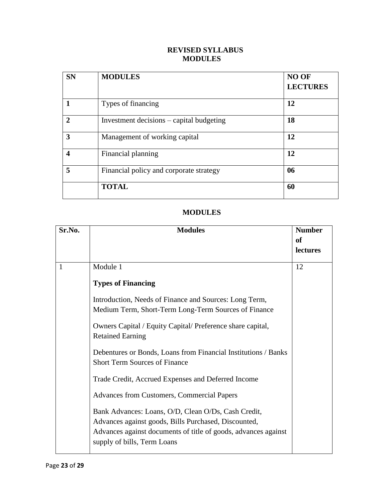#### **REVISED SYLLABUS MODULES**

| <b>SN</b>        | <b>MODULES</b>                           | <b>NO OF</b><br><b>LECTURES</b> |
|------------------|------------------------------------------|---------------------------------|
|                  | Types of financing                       | 12                              |
| $\mathbf{2}$     | Investment decisions – capital budgeting | 18                              |
| 3                | Management of working capital            | 12                              |
| $\boldsymbol{4}$ | Financial planning                       | 12                              |
| 5                | Financial policy and corporate strategy  | 06                              |
|                  | <b>TOTAL</b>                             | 60                              |

| Sr.No. | <b>Modules</b>                                                                                                                                                                                               | <b>Number</b> |
|--------|--------------------------------------------------------------------------------------------------------------------------------------------------------------------------------------------------------------|---------------|
|        |                                                                                                                                                                                                              | <b>of</b>     |
|        |                                                                                                                                                                                                              | lectures      |
| 1      | Module 1                                                                                                                                                                                                     | 12            |
|        | <b>Types of Financing</b>                                                                                                                                                                                    |               |
|        | Introduction, Needs of Finance and Sources: Long Term,<br>Medium Term, Short-Term Long-Term Sources of Finance                                                                                               |               |
|        | Owners Capital / Equity Capital/ Preference share capital,<br><b>Retained Earning</b>                                                                                                                        |               |
|        | Debentures or Bonds, Loans from Financial Institutions / Banks<br><b>Short Term Sources of Finance</b>                                                                                                       |               |
|        | Trade Credit, Accrued Expenses and Deferred Income                                                                                                                                                           |               |
|        | <b>Advances from Customers, Commercial Papers</b>                                                                                                                                                            |               |
|        | Bank Advances: Loans, O/D, Clean O/Ds, Cash Credit,<br>Advances against goods, Bills Purchased, Discounted,<br>Advances against documents of title of goods, advances against<br>supply of bills, Term Loans |               |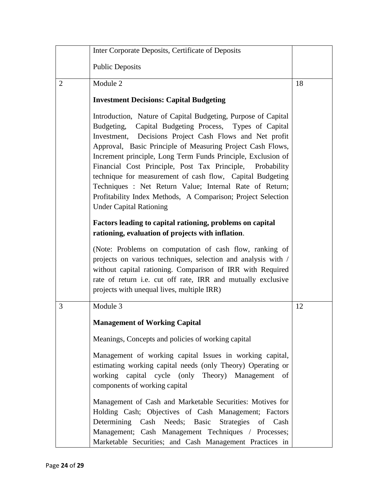|   | Inter Corporate Deposits, Certificate of Deposits                                                                                                                                                                                                                                                                                                                                                                                                                                                                                                                                                          |    |
|---|------------------------------------------------------------------------------------------------------------------------------------------------------------------------------------------------------------------------------------------------------------------------------------------------------------------------------------------------------------------------------------------------------------------------------------------------------------------------------------------------------------------------------------------------------------------------------------------------------------|----|
|   | <b>Public Deposits</b>                                                                                                                                                                                                                                                                                                                                                                                                                                                                                                                                                                                     |    |
| 2 | Module 2                                                                                                                                                                                                                                                                                                                                                                                                                                                                                                                                                                                                   | 18 |
|   | <b>Investment Decisions: Capital Budgeting</b>                                                                                                                                                                                                                                                                                                                                                                                                                                                                                                                                                             |    |
|   | Introduction, Nature of Capital Budgeting, Purpose of Capital<br>Budgeting, Capital Budgeting Process, Types of Capital<br>Investment, Decisions Project Cash Flows and Net profit<br>Approval, Basic Principle of Measuring Project Cash Flows,<br>Increment principle, Long Term Funds Principle, Exclusion of<br>Financial Cost Principle, Post Tax Principle,<br>Probability<br>technique for measurement of cash flow, Capital Budgeting<br>Techniques : Net Return Value; Internal Rate of Return;<br>Profitability Index Methods, A Comparison; Project Selection<br><b>Under Capital Rationing</b> |    |
|   | Factors leading to capital rationing, problems on capital<br>rationing, evaluation of projects with inflation.                                                                                                                                                                                                                                                                                                                                                                                                                                                                                             |    |
|   | (Note: Problems on computation of cash flow, ranking of<br>projects on various techniques, selection and analysis with /<br>without capital rationing. Comparison of IRR with Required<br>rate of return i.e. cut off rate, IRR and mutually exclusive<br>projects with unequal lives, multiple IRR)                                                                                                                                                                                                                                                                                                       |    |
| 3 | Module 3                                                                                                                                                                                                                                                                                                                                                                                                                                                                                                                                                                                                   | 12 |
|   | <b>Management of Working Capital</b>                                                                                                                                                                                                                                                                                                                                                                                                                                                                                                                                                                       |    |
|   | Meanings, Concepts and policies of working capital                                                                                                                                                                                                                                                                                                                                                                                                                                                                                                                                                         |    |
|   | Management of working capital Issues in working capital,<br>estimating working capital needs (only Theory) Operating or<br>working capital cycle (only Theory) Management of<br>components of working capital                                                                                                                                                                                                                                                                                                                                                                                              |    |
|   | Management of Cash and Marketable Securities: Motives for<br>Holding Cash; Objectives of Cash Management; Factors<br>Determining Cash Needs; Basic Strategies of Cash<br>Management; Cash Management Techniques / Processes;<br>Marketable Securities; and Cash Management Practices in                                                                                                                                                                                                                                                                                                                    |    |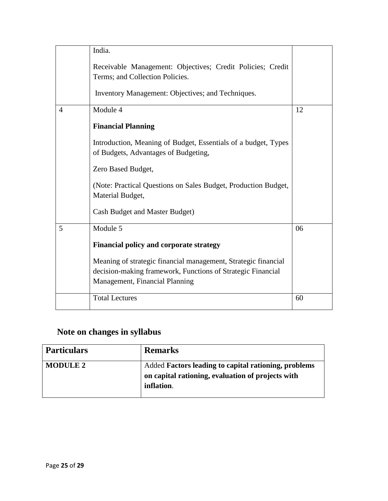|                | India.                                                                                                                                                          |    |
|----------------|-----------------------------------------------------------------------------------------------------------------------------------------------------------------|----|
|                | Receivable Management: Objectives; Credit Policies; Credit<br>Terms; and Collection Policies.                                                                   |    |
|                | Inventory Management: Objectives; and Techniques.                                                                                                               |    |
| $\overline{4}$ | Module 4                                                                                                                                                        | 12 |
|                | <b>Financial Planning</b>                                                                                                                                       |    |
|                | Introduction, Meaning of Budget, Essentials of a budget, Types<br>of Budgets, Advantages of Budgeting,                                                          |    |
|                | Zero Based Budget,                                                                                                                                              |    |
|                | (Note: Practical Questions on Sales Budget, Production Budget,<br>Material Budget,                                                                              |    |
|                | Cash Budget and Master Budget)                                                                                                                                  |    |
| 5              | Module 5                                                                                                                                                        | 06 |
|                | <b>Financial policy and corporate strategy</b>                                                                                                                  |    |
|                | Meaning of strategic financial management, Strategic financial<br>decision-making framework, Functions of Strategic Financial<br>Management, Financial Planning |    |
|                | <b>Total Lectures</b>                                                                                                                                           | 60 |

# **Note on changes in syllabus**

| <b>Particulars</b> | <b>Remarks</b>                                                                                                          |
|--------------------|-------------------------------------------------------------------------------------------------------------------------|
| <b>MODULE 2</b>    | Added Factors leading to capital rationing, problems<br>on capital rationing, evaluation of projects with<br>inflation. |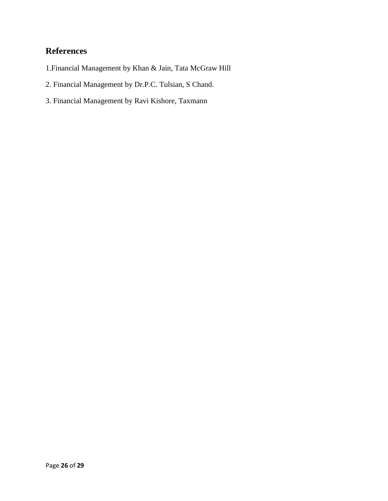# **References**

- 1.Financial Management by Khan & Jain, Tata McGraw Hill
- 2. Financial Management by Dr.P.C. Tulsian, S Chand.
- 3. Financial Management by Ravi Kishore, Taxmann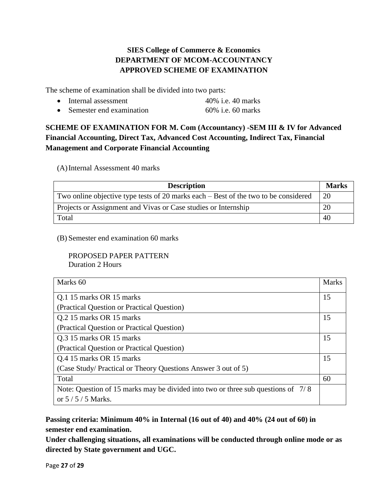#### **SIES College of Commerce & Economics DEPARTMENT OF MCOM-ACCOUNTANCY APPROVED SCHEME OF EXAMINATION**

The scheme of examination shall be divided into two parts:

- Internal assessment 40% i.e. 40 marks
- Semester end examination  $60\%$  i.e. 60 marks

#### **SCHEME OF EXAMINATION FOR M. Com (Accountancy) -SEM III & IV for Advanced Financial Accounting, Direct Tax, Advanced Cost Accounting, Indirect Tax, Financial Management and Corporate Financial Accounting**

(A)Internal Assessment 40 marks

| <b>Description</b>                                                                    | <b>Marks</b> |
|---------------------------------------------------------------------------------------|--------------|
| Two online objective type tests of 20 marks each $-$ Best of the two to be considered | 20           |
| Projects or Assignment and Vivas or Case studies or Internship                        | 20           |
| Total                                                                                 | 40           |

(B) Semester end examination 60 marks

PROPOSED PAPER PATTERN Duration 2 Hours

| Marks 60                                                                         | <b>Marks</b> |
|----------------------------------------------------------------------------------|--------------|
| Q.1 15 marks OR 15 marks                                                         | 15           |
| (Practical Question or Practical Question)                                       |              |
| Q.2 15 marks OR 15 marks                                                         | 15           |
| (Practical Question or Practical Question)                                       |              |
| Q.3 15 marks OR 15 marks                                                         | 15           |
| (Practical Question or Practical Question)                                       |              |
| Q.4 15 marks OR 15 marks                                                         | 15           |
| (Case Study/ Practical or Theory Questions Answer 3 out of 5)                    |              |
| Total                                                                            | 60           |
| Note: Question of 15 marks may be divided into two or three sub questions of 7/8 |              |
| or $5/5/5$ Marks.                                                                |              |

**Passing criteria: Minimum 40% in Internal (16 out of 40) and 40% (24 out of 60) in semester end examination.**

**Under challenging situations, all examinations will be conducted through online mode or as directed by State government and UGC.**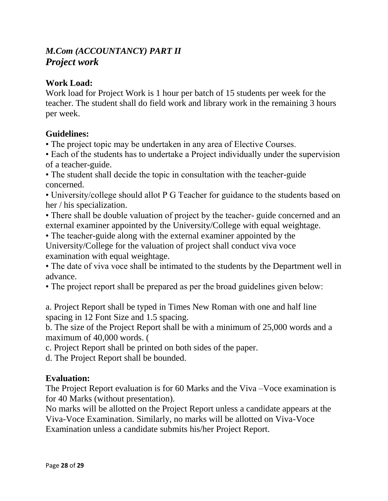# *M.Com (ACCOUNTANCY) PART II Project work*

# **Work Load:**

Work load for Project Work is 1 hour per batch of 15 students per week for the teacher. The student shall do field work and library work in the remaining 3 hours per week.

# **Guidelines:**

• The project topic may be undertaken in any area of Elective Courses.

• Each of the students has to undertake a Project individually under the supervision of a teacher-guide.

• The student shall decide the topic in consultation with the teacher-guide concerned.

• University/college should allot P G Teacher for guidance to the students based on her / his specialization.

• There shall be double valuation of project by the teacher- guide concerned and an external examiner appointed by the University/College with equal weightage.

• The teacher-guide along with the external examiner appointed by the University/College for the valuation of project shall conduct viva voce examination with equal weightage.

• The date of viva voce shall be intimated to the students by the Department well in advance.

• The project report shall be prepared as per the broad guidelines given below:

a. Project Report shall be typed in Times New Roman with one and half line spacing in 12 Font Size and 1.5 spacing.

b. The size of the Project Report shall be with a minimum of 25,000 words and a maximum of 40,000 words. (

c. Project Report shall be printed on both sides of the paper.

d. The Project Report shall be bounded.

### **Evaluation:**

The Project Report evaluation is for 60 Marks and the Viva –Voce examination is for 40 Marks (without presentation).

No marks will be allotted on the Project Report unless a candidate appears at the Viva-Voce Examination. Similarly, no marks will be allotted on Viva-Voce Examination unless a candidate submits his/her Project Report.